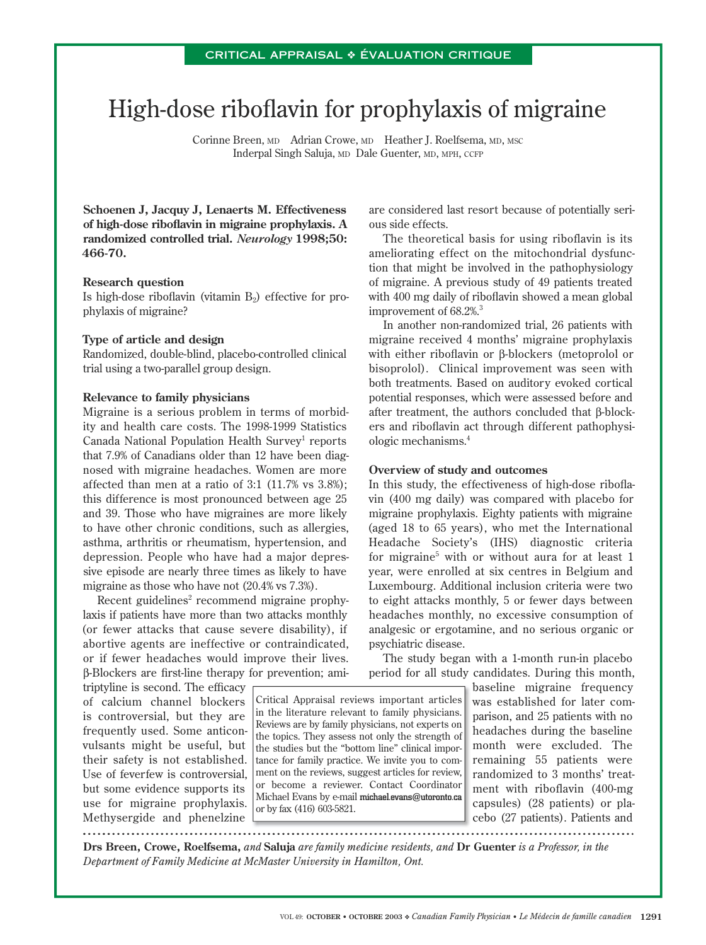# High-dose riboflavin for prophylaxis of migraine

Corinne Breen, MD Adrian Crowe, MD Heather J. Roelfsema, MD, MSC Inderpal Singh Saluja, MD Dale Guenter, MD, MPH, CCFP

**Schoenen J, Jacquy J, Lenaerts M. Effectiveness**  of high-dose riboflavin in migraine prophylaxis. A **randomized controlled trial.** *Neurology* **1998;50: 466-70.**

### **Research question**

Is high-dose riboflavin (vitamin  $B_2$ ) effective for prophylaxis of migraine?

# **Type of article and design**

Randomized, double-blind, placebo-controlled clinical trial using a two-parallel group design.

#### **Relevance to family physicians**

Migraine is a serious problem in terms of morbidity and health care costs. The 1998-1999 Statistics Canada National Population Health Survey<sup>1</sup> reports that 7.9% of Canadians older than 12 have been diagnosed with migraine headaches. Women are more affected than men at a ratio of 3:1 (11.7% vs 3.8%); this difference is most pronounced between age 25 and 39. Those who have migraines are more likely to have other chronic conditions, such as allergies, asthma, arthritis or rheumatism, hypertension, and depression. People who have had a major depressive episode are nearly three times as likely to have migraine as those who have not (20.4% vs 7.3%).

Recent guidelines<sup>2</sup> recommend migraine prophylaxis if patients have more than two attacks monthly (or fewer attacks that cause severe disability), if abortive agents are ineffective or contraindicated, or if fewer headaches would improve their lives. β-Blockers are first-line therapy for prevention; ami-

triptyline is second. The efficacy of calcium channel blockers is controversial, but they are frequently used. Some anticonvulsants might be useful, but their safety is not established. Use of feverfew is controversial, but some evidence supports its use for migraine prophylaxis. Methysergide and phenelzine 

are considered last resort because of potentially serious side effects.

The theoretical basis for using riboflavin is its ameliorating effect on the mitochondrial dysfunction that might be involved in the pathophysiology of migraine. A previous study of 49 patients treated with 400 mg daily of riboflavin showed a mean global improvement of 68.2%.<sup>3</sup>

In another non-randomized trial, 26 patients with migraine received 4 months' migraine prophylaxis with either riboflavin or β-blockers (metoprolol or bisoprolol). Clinical improvement was seen with both treatments. Based on auditory evoked cortical potential responses, which were assessed before and after treatment, the authors concluded that β-blockers and riboflavin act through different pathophysiologic mechanisms.4

## **Overview of study and outcomes**

In this study, the effectiveness of high-dose riboflavin (400 mg daily) was compared with placebo for migraine prophylaxis. Eighty patients with migraine (aged 18 to 65 years), who met the International Headache Society's (IHS) diagnostic criteria for migraine<sup>5</sup> with or without aura for at least 1 year, were enrolled at six centres in Belgium and Luxembourg. Additional inclusion criteria were two to eight attacks monthly, 5 or fewer days between headaches monthly, no excessive consumption of analgesic or ergotamine, and no serious organic or psychiatric disease.

The study began with a 1-month run-in placebo period for all study candidates. During this month,

Critical Appraisal reviews important articles in the literature relevant to family physicians. Reviews are by family physicians, not experts on the topics. They assess not only the strength of the studies but the "bottom line" clinical importance for family practice. We invite you to comment on the reviews, suggest articles for review, or become a reviewer. Contact Coordinator Michael Evans by e-mail michael.evans@utoronto.ca or by fax (416) 603-5821.

baseline migraine frequency was established for later comparison, and 25 patients with no headaches during the baseline month were excluded. The remaining 55 patients were randomized to 3 months' treatment with riboflavin (400-mg capsules) (28 patients) or placebo (27 patients). Patients and

**Drs Breen, Crowe, Roelfsema,** *and* **Saluja** *are family medicine residents, and* **Dr Guenter** *is a Professor, in the Department of Family Medicine at McMaster University in Hamilton, Ont.*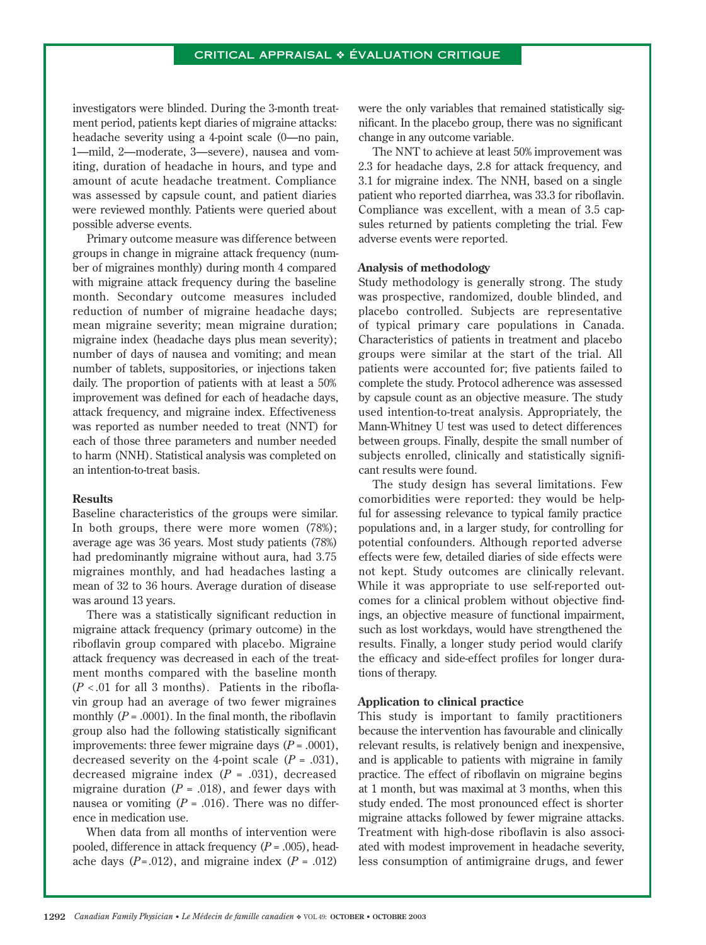investigators were blinded. During the 3-month treatment period, patients kept diaries of migraine attacks: headache severity using a 4-point scale (0—no pain, 1—mild, 2—moderate, 3—severe), nausea and vomiting, duration of headache in hours, and type and amount of acute headache treatment. Compliance was assessed by capsule count, and patient diaries were reviewed monthly. Patients were queried about possible adverse events.

Primary outcome measure was difference between groups in change in migraine attack frequency (number of migraines monthly) during month 4 compared with migraine attack frequency during the baseline month. Secondary outcome measures included reduction of number of migraine headache days; mean migraine severity; mean migraine duration; migraine index (headache days plus mean severity); number of days of nausea and vomiting; and mean number of tablets, suppositories, or injections taken daily. The proportion of patients with at least a 50% improvement was defined for each of headache days, attack frequency, and migraine index. Effectiveness was reported as number needed to treat (NNT) for each of those three parameters and number needed to harm (NNH). Statistical analysis was completed on an intention-to-treat basis.

### **Results**

Baseline characteristics of the groups were similar. In both groups, there were more women (78%); average age was 36 years. Most study patients (78%) had predominantly migraine without aura, had 3.75 migraines monthly, and had headaches lasting a mean of 32 to 36 hours. Average duration of disease was around 13 years.

There was a statistically significant reduction in migraine attack frequency (primary outcome) in the riboflavin group compared with placebo. Migraine attack frequency was decreased in each of the treatment months compared with the baseline month  $(P < .01$  for all 3 months). Patients in the riboflavin group had an average of two fewer migraines monthly  $(P = .0001)$ . In the final month, the riboflavin group also had the following statistically significant improvements: three fewer migraine days  $(P = .0001)$ , decreased severity on the 4-point scale  $(P = .031)$ , decreased migraine index (*P* = .031), decreased migraine duration  $(P = .018)$ , and fewer days with nausea or vomiting  $(P = .016)$ . There was no difference in medication use.

When data from all months of intervention were pooled, difference in attack frequency (*P* = .005), headache days  $(P=.012)$ , and migraine index  $(P=.012)$ 

were the only variables that remained statistically significant. In the placebo group, there was no significant change in any outcome variable.

The NNT to achieve at least 50% improvement was 2.3 for headache days, 2.8 for attack frequency, and 3.1 for migraine index. The NNH, based on a single patient who reported diarrhea, was 33.3 for riboflavin. Compliance was excellent, with a mean of 3.5 capsules returned by patients completing the trial. Few adverse events were reported.

#### **Analysis of methodology**

Study methodology is generally strong. The study was prospective, randomized, double blinded, and placebo controlled. Subjects are representative of typical primary care populations in Canada. Characteristics of patients in treatment and placebo groups were similar at the start of the trial. All patients were accounted for; five patients failed to complete the study. Protocol adherence was assessed by capsule count as an objective measure. The study used intention-to-treat analysis. Appropriately, the Mann-Whitney U test was used to detect differences between groups. Finally, despite the small number of subjects enrolled, clinically and statistically significant results were found.

The study design has several limitations. Few comorbidities were reported: they would be helpful for assessing relevance to typical family practice populations and, in a larger study, for controlling for potential confounders. Although reported adverse effects were few, detailed diaries of side effects were not kept. Study outcomes are clinically relevant. While it was appropriate to use self-reported outcomes for a clinical problem without objective findings, an objective measure of functional impairment, such as lost workdays, would have strengthened the results. Finally, a longer study period would clarify the efficacy and side-effect profiles for longer durations of therapy.

# **Application to clinical practice**

This study is important to family practitioners because the intervention has favourable and clinically relevant results, is relatively benign and inexpensive, and is applicable to patients with migraine in family practice. The effect of riboflavin on migraine begins at 1 month, but was maximal at 3 months, when this study ended. The most pronounced effect is shorter migraine attacks followed by fewer migraine attacks. Treatment with high-dose riboflavin is also associated with modest improvement in headache severity, less consumption of antimigraine drugs, and fewer